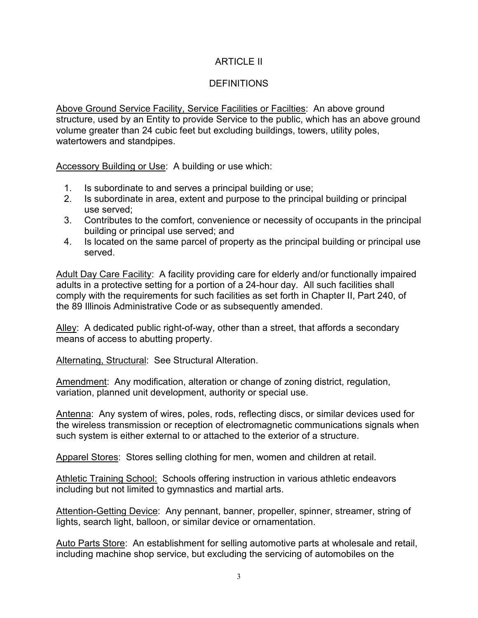## ARTICLE II

## **DEFINITIONS**

Above Ground Service Facility, Service Facilities or Facilties: An above ground structure, used by an Entity to provide Service to the public, which has an above ground volume greater than 24 cubic feet but excluding buildings, towers, utility poles, watertowers and standpipes.

Accessory Building or Use: A building or use which:

- 1. Is subordinate to and serves a principal building or use;
- 2. Is subordinate in area, extent and purpose to the principal building or principal use served;
- 3. Contributes to the comfort, convenience or necessity of occupants in the principal building or principal use served; and
- 4. Is located on the same parcel of property as the principal building or principal use served.

Adult Day Care Facility: A facility providing care for elderly and/or functionally impaired adults in a protective setting for a portion of a 24-hour day. All such facilities shall comply with the requirements for such facilities as set forth in Chapter II, Part 240, of the 89 Illinois Administrative Code or as subsequently amended.

Alley: A dedicated public right-of-way, other than a street, that affords a secondary means of access to abutting property.

Alternating, Structural: See Structural Alteration.

Amendment: Any modification, alteration or change of zoning district, regulation, variation, planned unit development, authority or special use.

Antenna: Any system of wires, poles, rods, reflecting discs, or similar devices used for the wireless transmission or reception of electromagnetic communications signals when such system is either external to or attached to the exterior of a structure.

Apparel Stores: Stores selling clothing for men, women and children at retail.

Athletic Training School: Schools offering instruction in various athletic endeavors including but not limited to gymnastics and martial arts.

Attention-Getting Device: Any pennant, banner, propeller, spinner, streamer, string of lights, search light, balloon, or similar device or ornamentation.

Auto Parts Store: An establishment for selling automotive parts at wholesale and retail, including machine shop service, but excluding the servicing of automobiles on the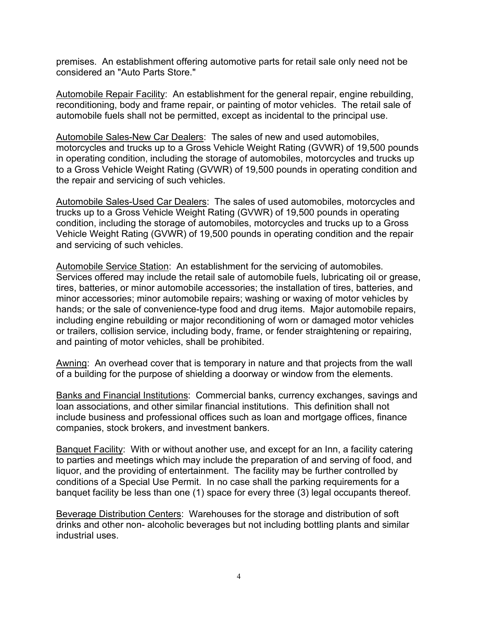premises. An establishment offering automotive parts for retail sale only need not be considered an "Auto Parts Store."

Automobile Repair Facility: An establishment for the general repair, engine rebuilding, reconditioning, body and frame repair, or painting of motor vehicles. The retail sale of automobile fuels shall not be permitted, except as incidental to the principal use.

Automobile Sales-New Car Dealers: The sales of new and used automobiles, motorcycles and trucks up to a Gross Vehicle Weight Rating (GVWR) of 19,500 pounds in operating condition, including the storage of automobiles, motorcycles and trucks up to a Gross Vehicle Weight Rating (GVWR) of 19,500 pounds in operating condition and the repair and servicing of such vehicles.

Automobile Sales-Used Car Dealers: The sales of used automobiles, motorcycles and trucks up to a Gross Vehicle Weight Rating (GVWR) of 19,500 pounds in operating condition, including the storage of automobiles, motorcycles and trucks up to a Gross Vehicle Weight Rating (GVWR) of 19,500 pounds in operating condition and the repair and servicing of such vehicles.

Automobile Service Station: An establishment for the servicing of automobiles. Services offered may include the retail sale of automobile fuels, lubricating oil or grease, tires, batteries, or minor automobile accessories; the installation of tires, batteries, and minor accessories; minor automobile repairs; washing or waxing of motor vehicles by hands; or the sale of convenience-type food and drug items. Major automobile repairs, including engine rebuilding or major reconditioning of worn or damaged motor vehicles or trailers, collision service, including body, frame, or fender straightening or repairing, and painting of motor vehicles, shall be prohibited.

Awning: An overhead cover that is temporary in nature and that projects from the wall of a building for the purpose of shielding a doorway or window from the elements.

Banks and Financial Institutions: Commercial banks, currency exchanges, savings and loan associations, and other similar financial institutions. This definition shall not include business and professional offices such as loan and mortgage offices, finance companies, stock brokers, and investment bankers.

Banquet Facility: With or without another use, and except for an Inn, a facility catering to parties and meetings which may include the preparation of and serving of food, and liquor, and the providing of entertainment. The facility may be further controlled by conditions of a Special Use Permit. In no case shall the parking requirements for a banquet facility be less than one (1) space for every three (3) legal occupants thereof.

Beverage Distribution Centers: Warehouses for the storage and distribution of soft drinks and other non- alcoholic beverages but not including bottling plants and similar industrial uses.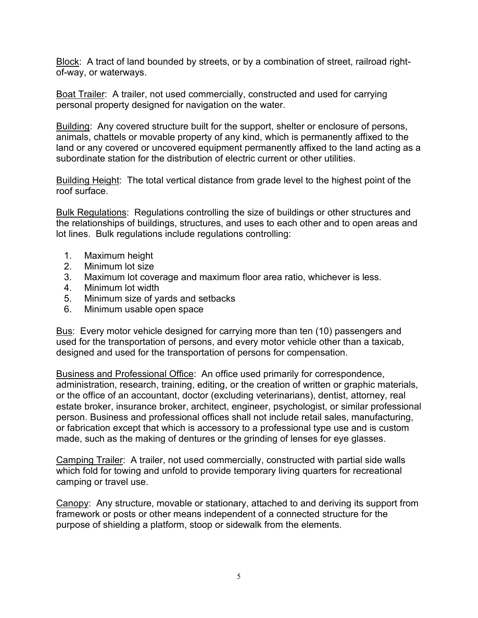Block: A tract of land bounded by streets, or by a combination of street, railroad rightof-way, or waterways.

Boat Trailer: A trailer, not used commercially, constructed and used for carrying personal property designed for navigation on the water.

Building: Any covered structure built for the support, shelter or enclosure of persons, animals, chattels or movable property of any kind, which is permanently affixed to the land or any covered or uncovered equipment permanently affixed to the land acting as a subordinate station for the distribution of electric current or other utilities.

Building Height: The total vertical distance from grade level to the highest point of the roof surface.

Bulk Regulations: Regulations controlling the size of buildings or other structures and the relationships of buildings, structures, and uses to each other and to open areas and lot lines. Bulk regulations include regulations controlling:

- 1. Maximum height
- 2. Minimum lot size
- 3. Maximum lot coverage and maximum floor area ratio, whichever is less.
- 4. Minimum lot width
- 5. Minimum size of yards and setbacks
- 6. Minimum usable open space

Bus: Every motor vehicle designed for carrying more than ten (10) passengers and used for the transportation of persons, and every motor vehicle other than a taxicab, designed and used for the transportation of persons for compensation.

Business and Professional Office: An office used primarily for correspondence, administration, research, training, editing, or the creation of written or graphic materials, or the office of an accountant, doctor (excluding veterinarians), dentist, attorney, real estate broker, insurance broker, architect, engineer, psychologist, or similar professional person. Business and professional offices shall not include retail sales, manufacturing, or fabrication except that which is accessory to a professional type use and is custom made, such as the making of dentures or the grinding of lenses for eye glasses.

Camping Trailer: A trailer, not used commercially, constructed with partial side walls which fold for towing and unfold to provide temporary living quarters for recreational camping or travel use.

Canopy: Any structure, movable or stationary, attached to and deriving its support from framework or posts or other means independent of a connected structure for the purpose of shielding a platform, stoop or sidewalk from the elements.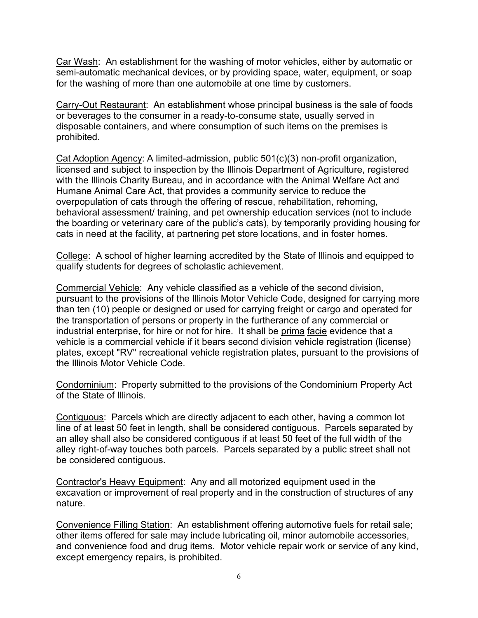Car Wash: An establishment for the washing of motor vehicles, either by automatic or semi-automatic mechanical devices, or by providing space, water, equipment, or soap for the washing of more than one automobile at one time by customers.

Carry-Out Restaurant: An establishment whose principal business is the sale of foods or beverages to the consumer in a ready-to-consume state, usually served in disposable containers, and where consumption of such items on the premises is prohibited.

Cat Adoption Agency: A limited-admission, public 501(c)(3) non-profit organization, licensed and subject to inspection by the Illinois Department of Agriculture, registered with the Illinois Charity Bureau, and in accordance with the Animal Welfare Act and Humane Animal Care Act, that provides a community service to reduce the overpopulation of cats through the offering of rescue, rehabilitation, rehoming, behavioral assessment/ training, and pet ownership education services (not to include the boarding or veterinary care of the public's cats), by temporarily providing housing for cats in need at the facility, at partnering pet store locations, and in foster homes.

College: A school of higher learning accredited by the State of Illinois and equipped to qualify students for degrees of scholastic achievement.

Commercial Vehicle: Any vehicle classified as a vehicle of the second division, pursuant to the provisions of the Illinois Motor Vehicle Code, designed for carrying more than ten (10) people or designed or used for carrying freight or cargo and operated for the transportation of persons or property in the furtherance of any commercial or industrial enterprise, for hire or not for hire. It shall be prima facie evidence that a vehicle is a commercial vehicle if it bears second division vehicle registration (license) plates, except "RV" recreational vehicle registration plates, pursuant to the provisions of the Illinois Motor Vehicle Code.

Condominium: Property submitted to the provisions of the Condominium Property Act of the State of Illinois.

Contiguous: Parcels which are directly adjacent to each other, having a common lot line of at least 50 feet in length, shall be considered contiguous. Parcels separated by an alley shall also be considered contiguous if at least 50 feet of the full width of the alley right-of-way touches both parcels. Parcels separated by a public street shall not be considered contiguous.

Contractor's Heavy Equipment: Any and all motorized equipment used in the excavation or improvement of real property and in the construction of structures of any nature.

Convenience Filling Station: An establishment offering automotive fuels for retail sale; other items offered for sale may include lubricating oil, minor automobile accessories, and convenience food and drug items. Motor vehicle repair work or service of any kind, except emergency repairs, is prohibited.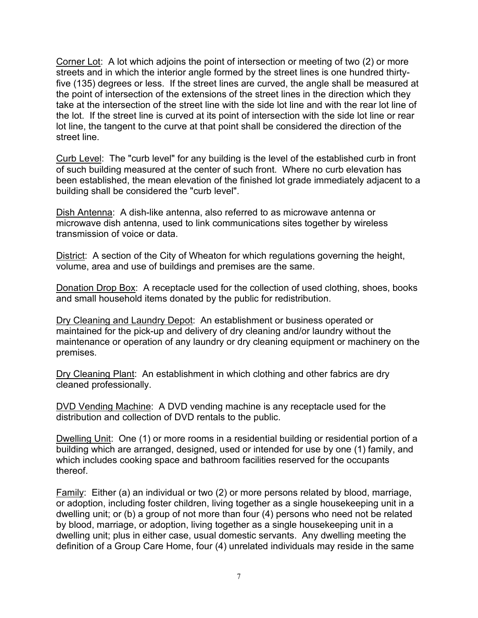Corner Lot: A lot which adjoins the point of intersection or meeting of two (2) or more streets and in which the interior angle formed by the street lines is one hundred thirtyfive (135) degrees or less. If the street lines are curved, the angle shall be measured at the point of intersection of the extensions of the street lines in the direction which they take at the intersection of the street line with the side lot line and with the rear lot line of the lot. If the street line is curved at its point of intersection with the side lot line or rear lot line, the tangent to the curve at that point shall be considered the direction of the street line.

Curb Level: The "curb level" for any building is the level of the established curb in front of such building measured at the center of such front. Where no curb elevation has been established, the mean elevation of the finished lot grade immediately adjacent to a building shall be considered the "curb level".

Dish Antenna: A dish-like antenna, also referred to as microwave antenna or microwave dish antenna, used to link communications sites together by wireless transmission of voice or data.

District: A section of the City of Wheaton for which regulations governing the height, volume, area and use of buildings and premises are the same.

Donation Drop Box: A receptacle used for the collection of used clothing, shoes, books and small household items donated by the public for redistribution.

Dry Cleaning and Laundry Depot: An establishment or business operated or maintained for the pick-up and delivery of dry cleaning and/or laundry without the maintenance or operation of any laundry or dry cleaning equipment or machinery on the premises.

Dry Cleaning Plant: An establishment in which clothing and other fabrics are dry cleaned professionally.

DVD Vending Machine: A DVD vending machine is any receptacle used for the distribution and collection of DVD rentals to the public.

Dwelling Unit: One (1) or more rooms in a residential building or residential portion of a building which are arranged, designed, used or intended for use by one (1) family, and which includes cooking space and bathroom facilities reserved for the occupants thereof.

Family: Either (a) an individual or two (2) or more persons related by blood, marriage, or adoption, including foster children, living together as a single housekeeping unit in a dwelling unit; or (b) a group of not more than four (4) persons who need not be related by blood, marriage, or adoption, living together as a single housekeeping unit in a dwelling unit; plus in either case, usual domestic servants. Any dwelling meeting the definition of a Group Care Home, four (4) unrelated individuals may reside in the same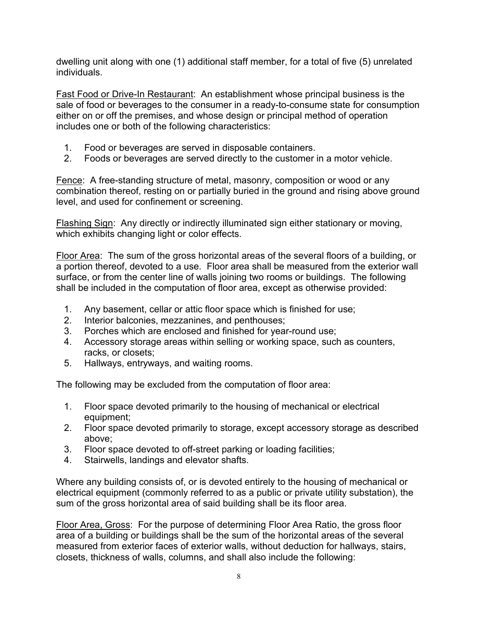dwelling unit along with one (1) additional staff member, for a total of five (5) unrelated individuals.

Fast Food or Drive-In Restaurant: An establishment whose principal business is the sale of food or beverages to the consumer in a ready-to-consume state for consumption either on or off the premises, and whose design or principal method of operation includes one or both of the following characteristics:

- 1. Food or beverages are served in disposable containers.
- 2. Foods or beverages are served directly to the customer in a motor vehicle.

Fence: A free-standing structure of metal, masonry, composition or wood or any combination thereof, resting on or partially buried in the ground and rising above ground level, and used for confinement or screening.

Flashing Sign: Any directly or indirectly illuminated sign either stationary or moving, which exhibits changing light or color effects.

Floor Area: The sum of the gross horizontal areas of the several floors of a building, or a portion thereof, devoted to a use. Floor area shall be measured from the exterior wall surface, or from the center line of walls joining two rooms or buildings. The following shall be included in the computation of floor area, except as otherwise provided:

- 1. Any basement, cellar or attic floor space which is finished for use;
- 2. Interior balconies, mezzanines, and penthouses;
- 3. Porches which are enclosed and finished for year-round use;
- 4. Accessory storage areas within selling or working space, such as counters, racks, or closets;
- 5. Hallways, entryways, and waiting rooms.

The following may be excluded from the computation of floor area:

- 1. Floor space devoted primarily to the housing of mechanical or electrical equipment;
- 2. Floor space devoted primarily to storage, except accessory storage as described above;
- 3. Floor space devoted to off-street parking or loading facilities;
- 4. Stairwells, landings and elevator shafts.

Where any building consists of, or is devoted entirely to the housing of mechanical or electrical equipment (commonly referred to as a public or private utility substation), the sum of the gross horizontal area of said building shall be its floor area.

Floor Area, Gross: For the purpose of determining Floor Area Ratio, the gross floor area of a building or buildings shall be the sum of the horizontal areas of the several measured from exterior faces of exterior walls, without deduction for hallways, stairs, closets, thickness of walls, columns, and shall also include the following: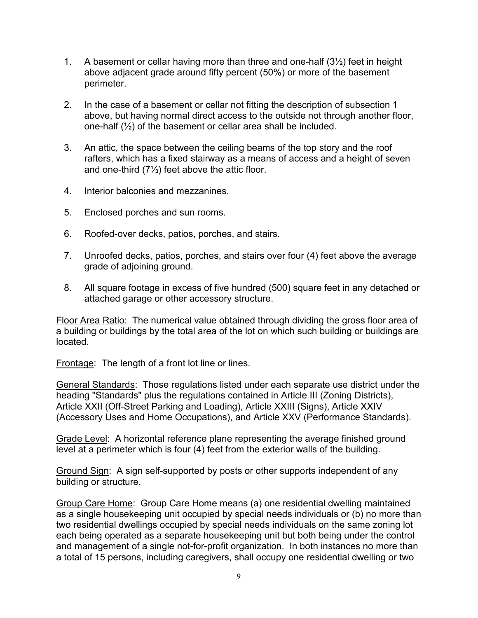- 1. A basement or cellar having more than three and one-half (3½) feet in height above adjacent grade around fifty percent (50%) or more of the basement perimeter.
- 2. In the case of a basement or cellar not fitting the description of subsection 1 above, but having normal direct access to the outside not through another floor, one-half (½) of the basement or cellar area shall be included.
- 3. An attic, the space between the ceiling beams of the top story and the roof rafters, which has a fixed stairway as a means of access and a height of seven and one-third (7⅓) feet above the attic floor.
- 4. Interior balconies and mezzanines.
- 5. Enclosed porches and sun rooms.
- 6. Roofed-over decks, patios, porches, and stairs.
- 7. Unroofed decks, patios, porches, and stairs over four (4) feet above the average grade of adjoining ground.
- 8. All square footage in excess of five hundred (500) square feet in any detached or attached garage or other accessory structure.

Floor Area Ratio: The numerical value obtained through dividing the gross floor area of a building or buildings by the total area of the lot on which such building or buildings are located.

Frontage: The length of a front lot line or lines.

General Standards: Those regulations listed under each separate use district under the heading "Standards" plus the regulations contained in Article III (Zoning Districts), Article XXII (Off-Street Parking and Loading), Article XXIII (Signs), Article XXIV (Accessory Uses and Home Occupations), and Article XXV (Performance Standards).

Grade Level: A horizontal reference plane representing the average finished ground level at a perimeter which is four (4) feet from the exterior walls of the building.

Ground Sign: A sign self-supported by posts or other supports independent of any building or structure.

Group Care Home: Group Care Home means (a) one residential dwelling maintained as a single housekeeping unit occupied by special needs individuals or (b) no more than two residential dwellings occupied by special needs individuals on the same zoning lot each being operated as a separate housekeeping unit but both being under the control and management of a single not-for-profit organization. In both instances no more than a total of 15 persons, including caregivers, shall occupy one residential dwelling or two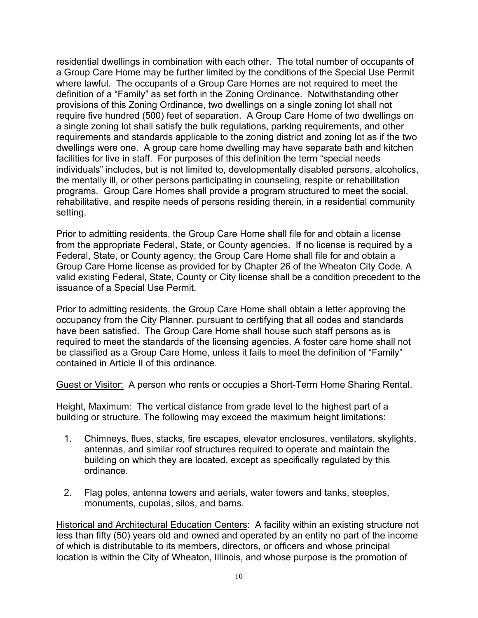residential dwellings in combination with each other. The total number of occupants of a Group Care Home may be further limited by the conditions of the Special Use Permit where lawful. The occupants of a Group Care Homes are not required to meet the definition of a "Family" as set forth in the Zoning Ordinance. Notwithstanding other provisions of this Zoning Ordinance, two dwellings on a single zoning lot shall not require five hundred (500) feet of separation. A Group Care Home of two dwellings on a single zoning lot shall satisfy the bulk regulations, parking requirements, and other requirements and standards applicable to the zoning district and zoning lot as if the two dwellings were one. A group care home dwelling may have separate bath and kitchen facilities for live in staff. For purposes of this definition the term "special needs individuals" includes, but is not limited to, developmentally disabled persons, alcoholics, the mentally ill, or other persons participating in counseling, respite or rehabilitation programs. Group Care Homes shall provide a program structured to meet the social, rehabilitative, and respite needs of persons residing therein, in a residential community setting.

Prior to admitting residents, the Group Care Home shall file for and obtain a license from the appropriate Federal, State, or County agencies. If no license is required by a Federal, State, or County agency, the Group Care Home shall file for and obtain a Group Care Home license as provided for by Chapter 26 of the Wheaton City Code. A valid existing Federal, State, County or City license shall be a condition precedent to the issuance of a Special Use Permit.

Prior to admitting residents, the Group Care Home shall obtain a letter approving the occupancy from the City Planner, pursuant to certifying that all codes and standards have been satisfied. The Group Care Home shall house such staff persons as is required to meet the standards of the licensing agencies. A foster care home shall not be classified as a Group Care Home, unless it fails to meet the definition of "Family" contained in Article II of this ordinance.

Guest or Visitor: A person who rents or occupies a Short-Term Home Sharing Rental.

Height, Maximum: The vertical distance from grade level to the highest part of a building or structure. The following may exceed the maximum height limitations:

- 1. Chimneys, flues, stacks, fire escapes, elevator enclosures, ventilators, skylights, antennas, and similar roof structures required to operate and maintain the building on which they are located, except as specifically regulated by this ordinance.
- 2. Flag poles, antenna towers and aerials, water towers and tanks, steeples, monuments, cupolas, silos, and barns.

Historical and Architectural Education Centers: A facility within an existing structure not less than fifty (50) years old and owned and operated by an entity no part of the income of which is distributable to its members, directors, or officers and whose principal location is within the City of Wheaton, Illinois, and whose purpose is the promotion of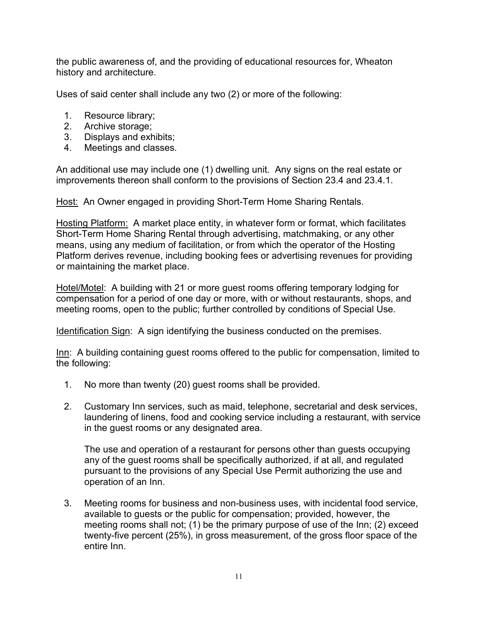the public awareness of, and the providing of educational resources for, Wheaton history and architecture.

Uses of said center shall include any two (2) or more of the following:

- 1. Resource library;
- 2. Archive storage;
- 3. Displays and exhibits;
- 4. Meetings and classes.

An additional use may include one (1) dwelling unit. Any signs on the real estate or improvements thereon shall conform to the provisions of Section 23.4 and 23.4.1.

Host: An Owner engaged in providing Short-Term Home Sharing Rentals.

Hosting Platform: A market place entity, in whatever form or format, which facilitates Short-Term Home Sharing Rental through advertising, matchmaking, or any other means, using any medium of facilitation, or from which the operator of the Hosting Platform derives revenue, including booking fees or advertising revenues for providing or maintaining the market place.

Hotel/Motel: A building with 21 or more guest rooms offering temporary lodging for compensation for a period of one day or more, with or without restaurants, shops, and meeting rooms, open to the public; further controlled by conditions of Special Use.

Identification Sign: A sign identifying the business conducted on the premises.

Inn: A building containing guest rooms offered to the public for compensation, limited to the following:

- 1. No more than twenty (20) guest rooms shall be provided.
- 2. Customary Inn services, such as maid, telephone, secretarial and desk services, laundering of linens, food and cooking service including a restaurant, with service in the guest rooms or any designated area.

The use and operation of a restaurant for persons other than guests occupying any of the guest rooms shall be specifically authorized, if at all, and regulated pursuant to the provisions of any Special Use Permit authorizing the use and operation of an Inn.

 3. Meeting rooms for business and non-business uses, with incidental food service, available to guests or the public for compensation; provided, however, the meeting rooms shall not; (1) be the primary purpose of use of the Inn; (2) exceed twenty-five percent (25%), in gross measurement, of the gross floor space of the entire Inn.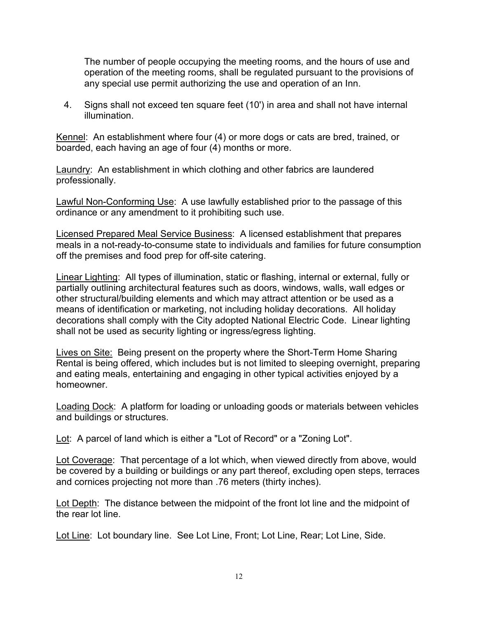The number of people occupying the meeting rooms, and the hours of use and operation of the meeting rooms, shall be regulated pursuant to the provisions of any special use permit authorizing the use and operation of an Inn.

 4. Signs shall not exceed ten square feet (10') in area and shall not have internal illumination.

Kennel: An establishment where four (4) or more dogs or cats are bred, trained, or boarded, each having an age of four (4) months or more.

Laundry: An establishment in which clothing and other fabrics are laundered professionally.

Lawful Non-Conforming Use: A use lawfully established prior to the passage of this ordinance or any amendment to it prohibiting such use.

Licensed Prepared Meal Service Business: A licensed establishment that prepares meals in a not-ready-to-consume state to individuals and families for future consumption off the premises and food prep for off-site catering.

Linear Lighting: All types of illumination, static or flashing, internal or external, fully or partially outlining architectural features such as doors, windows, walls, wall edges or other structural/building elements and which may attract attention or be used as a means of identification or marketing, not including holiday decorations. All holiday decorations shall comply with the City adopted National Electric Code. Linear lighting shall not be used as security lighting or ingress/egress lighting.

Lives on Site: Being present on the property where the Short-Term Home Sharing Rental is being offered, which includes but is not limited to sleeping overnight, preparing and eating meals, entertaining and engaging in other typical activities enjoyed by a homeowner.

Loading Dock: A platform for loading or unloading goods or materials between vehicles and buildings or structures.

Lot: A parcel of land which is either a "Lot of Record" or a "Zoning Lot".

Lot Coverage: That percentage of a lot which, when viewed directly from above, would be covered by a building or buildings or any part thereof, excluding open steps, terraces and cornices projecting not more than .76 meters (thirty inches).

Lot Depth: The distance between the midpoint of the front lot line and the midpoint of the rear lot line.

Lot Line: Lot boundary line. See Lot Line, Front; Lot Line, Rear; Lot Line, Side.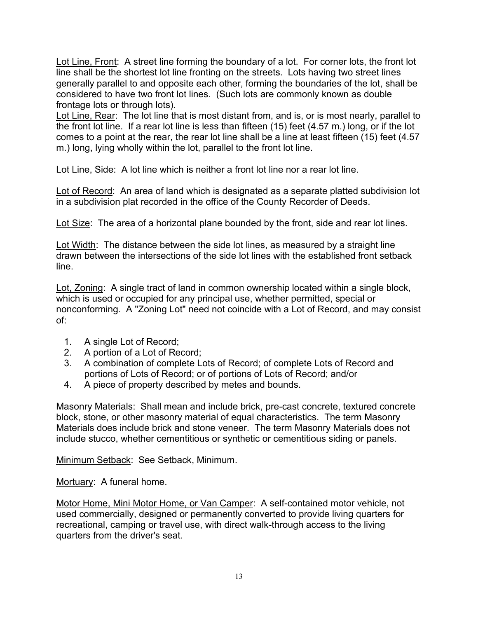Lot Line, Front: A street line forming the boundary of a lot. For corner lots, the front lot line shall be the shortest lot line fronting on the streets. Lots having two street lines generally parallel to and opposite each other, forming the boundaries of the lot, shall be considered to have two front lot lines. (Such lots are commonly known as double frontage lots or through lots).

Lot Line, Rear: The lot line that is most distant from, and is, or is most nearly, parallel to the front lot line. If a rear lot line is less than fifteen (15) feet (4.57 m.) long, or if the lot comes to a point at the rear, the rear lot line shall be a line at least fifteen (15) feet (4.57 m.) long, lying wholly within the lot, parallel to the front lot line.

Lot Line, Side: A lot line which is neither a front lot line nor a rear lot line.

Lot of Record: An area of land which is designated as a separate platted subdivision lot in a subdivision plat recorded in the office of the County Recorder of Deeds.

Lot Size: The area of a horizontal plane bounded by the front, side and rear lot lines.

Lot Width: The distance between the side lot lines, as measured by a straight line drawn between the intersections of the side lot lines with the established front setback line.

Lot, Zoning: A single tract of land in common ownership located within a single block, which is used or occupied for any principal use, whether permitted, special or nonconforming. A "Zoning Lot" need not coincide with a Lot of Record, and may consist of:

- 1. A single Lot of Record;
- 2. A portion of a Lot of Record;
- 3. A combination of complete Lots of Record; of complete Lots of Record and portions of Lots of Record; or of portions of Lots of Record; and/or
- 4. A piece of property described by metes and bounds.

Masonry Materials: Shall mean and include brick, pre-cast concrete, textured concrete block, stone, or other masonry material of equal characteristics. The term Masonry Materials does include brick and stone veneer. The term Masonry Materials does not include stucco, whether cementitious or synthetic or cementitious siding or panels.

Minimum Setback: See Setback, Minimum.

Mortuary: A funeral home.

Motor Home, Mini Motor Home, or Van Camper: A self-contained motor vehicle, not used commercially, designed or permanently converted to provide living quarters for recreational, camping or travel use, with direct walk-through access to the living quarters from the driver's seat.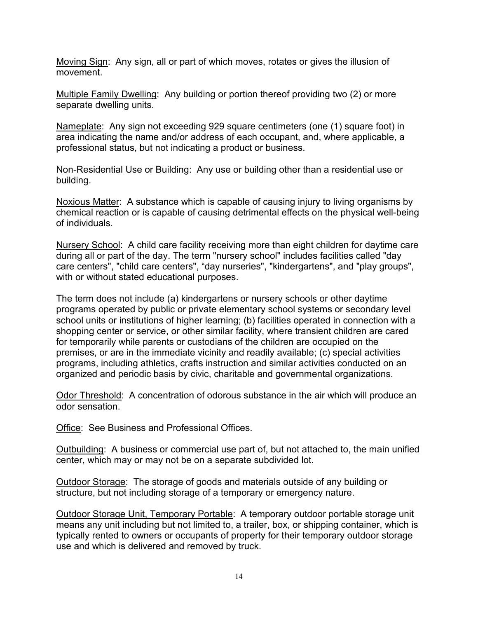Moving Sign: Any sign, all or part of which moves, rotates or gives the illusion of movement.

Multiple Family Dwelling: Any building or portion thereof providing two (2) or more separate dwelling units.

Nameplate: Any sign not exceeding 929 square centimeters (one (1) square foot) in area indicating the name and/or address of each occupant, and, where applicable, a professional status, but not indicating a product or business.

Non-Residential Use or Building: Any use or building other than a residential use or building.

Noxious Matter: A substance which is capable of causing injury to living organisms by chemical reaction or is capable of causing detrimental effects on the physical well-being of individuals.

Nursery School: A child care facility receiving more than eight children for daytime care during all or part of the day. The term "nursery school" includes facilities called "day care centers", "child care centers", "day nurseries", "kindergartens", and "play groups", with or without stated educational purposes.

The term does not include (a) kindergartens or nursery schools or other daytime programs operated by public or private elementary school systems or secondary level school units or institutions of higher learning; (b) facilities operated in connection with a shopping center or service, or other similar facility, where transient children are cared for temporarily while parents or custodians of the children are occupied on the premises, or are in the immediate vicinity and readily available; (c) special activities programs, including athletics, crafts instruction and similar activities conducted on an organized and periodic basis by civic, charitable and governmental organizations.

Odor Threshold: A concentration of odorous substance in the air which will produce an odor sensation.

Office: See Business and Professional Offices.

Outbuilding: A business or commercial use part of, but not attached to, the main unified center, which may or may not be on a separate subdivided lot.

Outdoor Storage: The storage of goods and materials outside of any building or structure, but not including storage of a temporary or emergency nature.

Outdoor Storage Unit, Temporary Portable: A temporary outdoor portable storage unit means any unit including but not limited to, a trailer, box, or shipping container, which is typically rented to owners or occupants of property for their temporary outdoor storage use and which is delivered and removed by truck.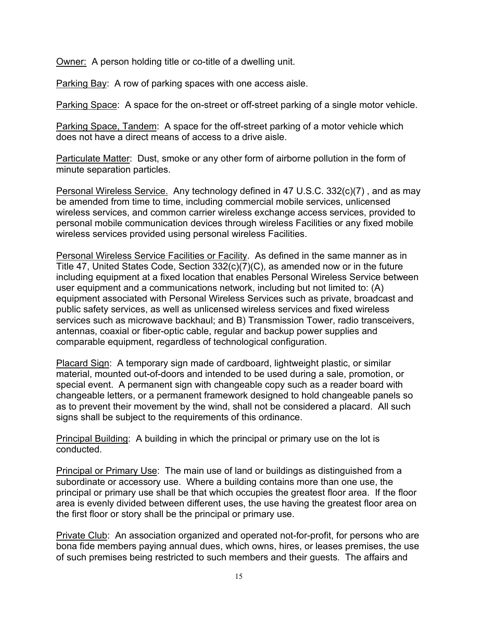Owner: A person holding title or co-title of a dwelling unit.

Parking Bay: A row of parking spaces with one access aisle.

Parking Space: A space for the on-street or off-street parking of a single motor vehicle.

Parking Space, Tandem: A space for the off-street parking of a motor vehicle which does not have a direct means of access to a drive aisle.

Particulate Matter: Dust, smoke or any other form of airborne pollution in the form of minute separation particles.

Personal Wireless Service. Any technology defined in 47 U.S.C. 332(c)(7) , and as may be amended from time to time, including commercial mobile services, unlicensed wireless services, and common carrier wireless exchange access services, provided to personal mobile communication devices through wireless Facilities or any fixed mobile wireless services provided using personal wireless Facilities.

Personal Wireless Service Facilities or Facility. As defined in the same manner as in Title 47, United States Code, Section 332(c)(7)(C), as amended now or in the future including equipment at a fixed location that enables Personal Wireless Service between user equipment and a communications network, including but not limited to: (A) equipment associated with Personal Wireless Services such as private, broadcast and public safety services, as well as unlicensed wireless services and fixed wireless services such as microwave backhaul; and B) Transmission Tower, radio transceivers, antennas, coaxial or fiber-optic cable, regular and backup power supplies and comparable equipment, regardless of technological configuration.

Placard Sign: A temporary sign made of cardboard, lightweight plastic, or similar material, mounted out-of-doors and intended to be used during a sale, promotion, or special event. A permanent sign with changeable copy such as a reader board with changeable letters, or a permanent framework designed to hold changeable panels so as to prevent their movement by the wind, shall not be considered a placard. All such signs shall be subject to the requirements of this ordinance.

Principal Building: A building in which the principal or primary use on the lot is conducted.

Principal or Primary Use: The main use of land or buildings as distinguished from a subordinate or accessory use. Where a building contains more than one use, the principal or primary use shall be that which occupies the greatest floor area. If the floor area is evenly divided between different uses, the use having the greatest floor area on the first floor or story shall be the principal or primary use.

Private Club: An association organized and operated not-for-profit, for persons who are bona fide members paying annual dues, which owns, hires, or leases premises, the use of such premises being restricted to such members and their guests. The affairs and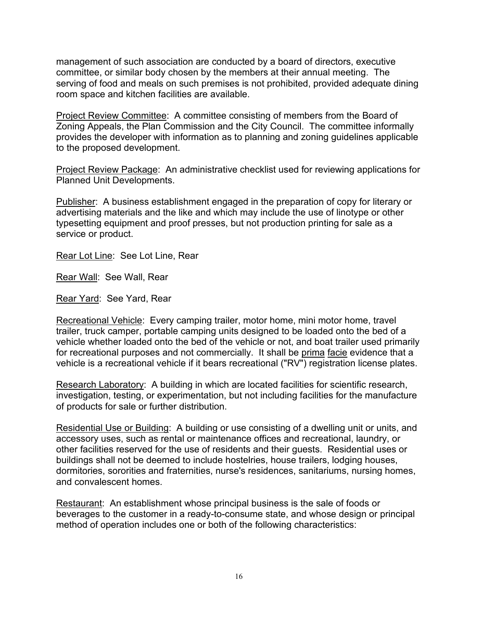management of such association are conducted by a board of directors, executive committee, or similar body chosen by the members at their annual meeting. The serving of food and meals on such premises is not prohibited, provided adequate dining room space and kitchen facilities are available.

Project Review Committee: A committee consisting of members from the Board of Zoning Appeals, the Plan Commission and the City Council. The committee informally provides the developer with information as to planning and zoning guidelines applicable to the proposed development.

Project Review Package: An administrative checklist used for reviewing applications for Planned Unit Developments.

Publisher: A business establishment engaged in the preparation of copy for literary or advertising materials and the like and which may include the use of linotype or other typesetting equipment and proof presses, but not production printing for sale as a service or product.

Rear Lot Line: See Lot Line, Rear

Rear Wall: See Wall, Rear

Rear Yard: See Yard, Rear

Recreational Vehicle: Every camping trailer, motor home, mini motor home, travel trailer, truck camper, portable camping units designed to be loaded onto the bed of a vehicle whether loaded onto the bed of the vehicle or not, and boat trailer used primarily for recreational purposes and not commercially. It shall be prima facie evidence that a vehicle is a recreational vehicle if it bears recreational ("RV") registration license plates.

Research Laboratory: A building in which are located facilities for scientific research, investigation, testing, or experimentation, but not including facilities for the manufacture of products for sale or further distribution.

Residential Use or Building: A building or use consisting of a dwelling unit or units, and accessory uses, such as rental or maintenance offices and recreational, laundry, or other facilities reserved for the use of residents and their guests. Residential uses or buildings shall not be deemed to include hostelries, house trailers, lodging houses, dormitories, sororities and fraternities, nurse's residences, sanitariums, nursing homes, and convalescent homes.

Restaurant: An establishment whose principal business is the sale of foods or beverages to the customer in a ready-to-consume state, and whose design or principal method of operation includes one or both of the following characteristics: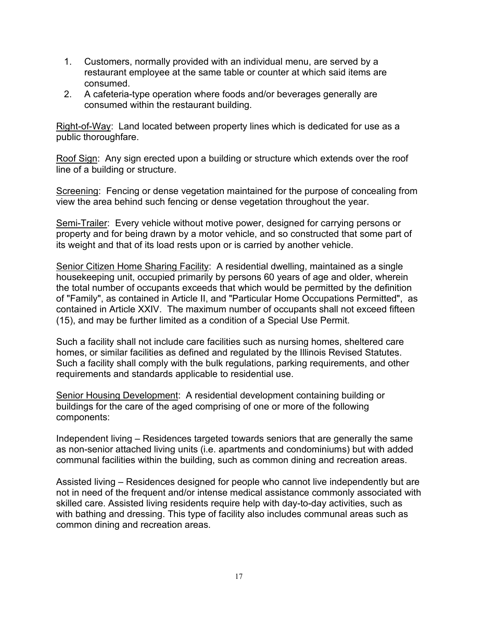- 1. Customers, normally provided with an individual menu, are served by a restaurant employee at the same table or counter at which said items are consumed.
- 2. A cafeteria-type operation where foods and/or beverages generally are consumed within the restaurant building.

Right-of-Way: Land located between property lines which is dedicated for use as a public thoroughfare.

Roof Sign: Any sign erected upon a building or structure which extends over the roof line of a building or structure.

Screening: Fencing or dense vegetation maintained for the purpose of concealing from view the area behind such fencing or dense vegetation throughout the year.

Semi-Trailer: Every vehicle without motive power, designed for carrying persons or property and for being drawn by a motor vehicle, and so constructed that some part of its weight and that of its load rests upon or is carried by another vehicle.

Senior Citizen Home Sharing Facility: A residential dwelling, maintained as a single housekeeping unit, occupied primarily by persons 60 years of age and older, wherein the total number of occupants exceeds that which would be permitted by the definition of "Family", as contained in Article II, and "Particular Home Occupations Permitted", as contained in Article XXIV. The maximum number of occupants shall not exceed fifteen (15), and may be further limited as a condition of a Special Use Permit.

Such a facility shall not include care facilities such as nursing homes, sheltered care homes, or similar facilities as defined and regulated by the Illinois Revised Statutes. Such a facility shall comply with the bulk regulations, parking requirements, and other requirements and standards applicable to residential use.

Senior Housing Development: A residential development containing building or buildings for the care of the aged comprising of one or more of the following components:

Independent living – Residences targeted towards seniors that are generally the same as non-senior attached living units (i.e. apartments and condominiums) but with added communal facilities within the building, such as common dining and recreation areas.

Assisted living – Residences designed for people who cannot live independently but are not in need of the frequent and/or intense medical assistance commonly associated with skilled care. Assisted living residents require help with day-to-day activities, such as with bathing and dressing. This type of facility also includes communal areas such as common dining and recreation areas.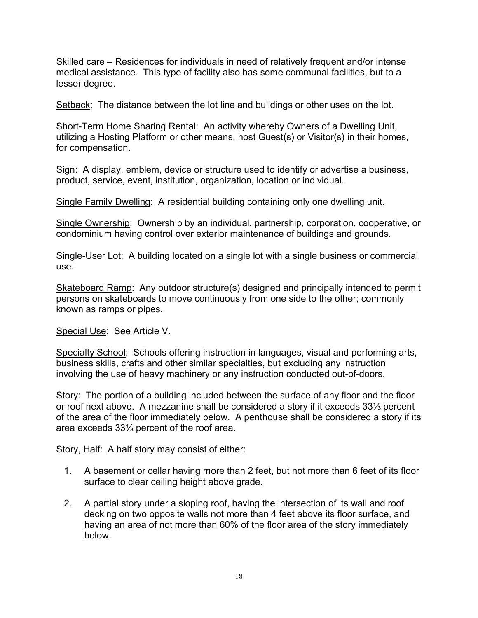Skilled care – Residences for individuals in need of relatively frequent and/or intense medical assistance. This type of facility also has some communal facilities, but to a lesser degree.

Setback: The distance between the lot line and buildings or other uses on the lot.

Short-Term Home Sharing Rental: An activity whereby Owners of a Dwelling Unit, utilizing a Hosting Platform or other means, host Guest(s) or Visitor(s) in their homes, for compensation.

Sign: A display, emblem, device or structure used to identify or advertise a business, product, service, event, institution, organization, location or individual.

Single Family Dwelling: A residential building containing only one dwelling unit.

Single Ownership: Ownership by an individual, partnership, corporation, cooperative, or condominium having control over exterior maintenance of buildings and grounds.

Single-User Lot: A building located on a single lot with a single business or commercial use.

Skateboard Ramp: Any outdoor structure(s) designed and principally intended to permit persons on skateboards to move continuously from one side to the other; commonly known as ramps or pipes.

Special Use: See Article V.

Specialty School: Schools offering instruction in languages, visual and performing arts, business skills, crafts and other similar specialties, but excluding any instruction involving the use of heavy machinery or any instruction conducted out-of-doors.

Story: The portion of a building included between the surface of any floor and the floor or roof next above. A mezzanine shall be considered a story if it exceeds 33⅓ percent of the area of the floor immediately below. A penthouse shall be considered a story if its area exceeds 33⅓ percent of the roof area.

Story, Half: A half story may consist of either:

- 1. A basement or cellar having more than 2 feet, but not more than 6 feet of its floor surface to clear ceiling height above grade.
- 2. A partial story under a sloping roof, having the intersection of its wall and roof decking on two opposite walls not more than 4 feet above its floor surface, and having an area of not more than 60% of the floor area of the story immediately below.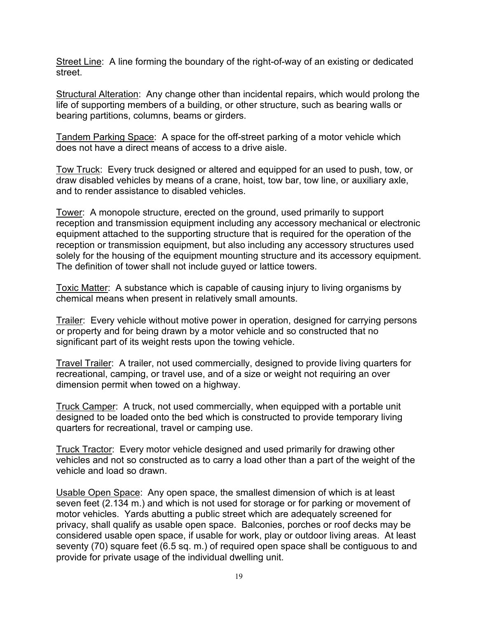Street Line: A line forming the boundary of the right-of-way of an existing or dedicated street.

Structural Alteration: Any change other than incidental repairs, which would prolong the life of supporting members of a building, or other structure, such as bearing walls or bearing partitions, columns, beams or girders.

Tandem Parking Space: A space for the off-street parking of a motor vehicle which does not have a direct means of access to a drive aisle.

Tow Truck: Every truck designed or altered and equipped for an used to push, tow, or draw disabled vehicles by means of a crane, hoist, tow bar, tow line, or auxiliary axle, and to render assistance to disabled vehicles.

Tower: A monopole structure, erected on the ground, used primarily to support reception and transmission equipment including any accessory mechanical or electronic equipment attached to the supporting structure that is required for the operation of the reception or transmission equipment, but also including any accessory structures used solely for the housing of the equipment mounting structure and its accessory equipment. The definition of tower shall not include guyed or lattice towers.

Toxic Matter: A substance which is capable of causing injury to living organisms by chemical means when present in relatively small amounts.

Trailer: Every vehicle without motive power in operation, designed for carrying persons or property and for being drawn by a motor vehicle and so constructed that no significant part of its weight rests upon the towing vehicle.

Travel Trailer: A trailer, not used commercially, designed to provide living quarters for recreational, camping, or travel use, and of a size or weight not requiring an over dimension permit when towed on a highway.

Truck Camper: A truck, not used commercially, when equipped with a portable unit designed to be loaded onto the bed which is constructed to provide temporary living quarters for recreational, travel or camping use.

Truck Tractor: Every motor vehicle designed and used primarily for drawing other vehicles and not so constructed as to carry a load other than a part of the weight of the vehicle and load so drawn.

Usable Open Space: Any open space, the smallest dimension of which is at least seven feet (2.134 m.) and which is not used for storage or for parking or movement of motor vehicles. Yards abutting a public street which are adequately screened for privacy, shall qualify as usable open space. Balconies, porches or roof decks may be considered usable open space, if usable for work, play or outdoor living areas. At least seventy (70) square feet (6.5 sq. m.) of required open space shall be contiguous to and provide for private usage of the individual dwelling unit.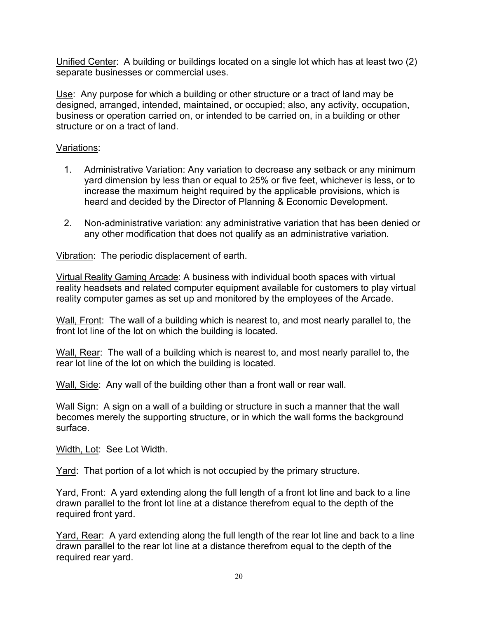Unified Center: A building or buildings located on a single lot which has at least two (2) separate businesses or commercial uses.

Use: Any purpose for which a building or other structure or a tract of land may be designed, arranged, intended, maintained, or occupied; also, any activity, occupation, business or operation carried on, or intended to be carried on, in a building or other structure or on a tract of land.

## Variations:

- 1. Administrative Variation: Any variation to decrease any setback or any minimum yard dimension by less than or equal to 25% or five feet, whichever is less, or to increase the maximum height required by the applicable provisions, which is heard and decided by the Director of Planning & Economic Development.
- 2. Non-administrative variation: any administrative variation that has been denied or any other modification that does not qualify as an administrative variation.

Vibration: The periodic displacement of earth.

Virtual Reality Gaming Arcade: A business with individual booth spaces with virtual reality headsets and related computer equipment available for customers to play virtual reality computer games as set up and monitored by the employees of the Arcade.

Wall, Front: The wall of a building which is nearest to, and most nearly parallel to, the front lot line of the lot on which the building is located.

Wall, Rear: The wall of a building which is nearest to, and most nearly parallel to, the rear lot line of the lot on which the building is located.

Wall, Side: Any wall of the building other than a front wall or rear wall.

Wall Sign: A sign on a wall of a building or structure in such a manner that the wall becomes merely the supporting structure, or in which the wall forms the background surface.

Width, Lot: See Lot Width.

Yard: That portion of a lot which is not occupied by the primary structure.

Yard, Front: A yard extending along the full length of a front lot line and back to a line drawn parallel to the front lot line at a distance therefrom equal to the depth of the required front yard.

Yard, Rear: A yard extending along the full length of the rear lot line and back to a line drawn parallel to the rear lot line at a distance therefrom equal to the depth of the required rear yard.